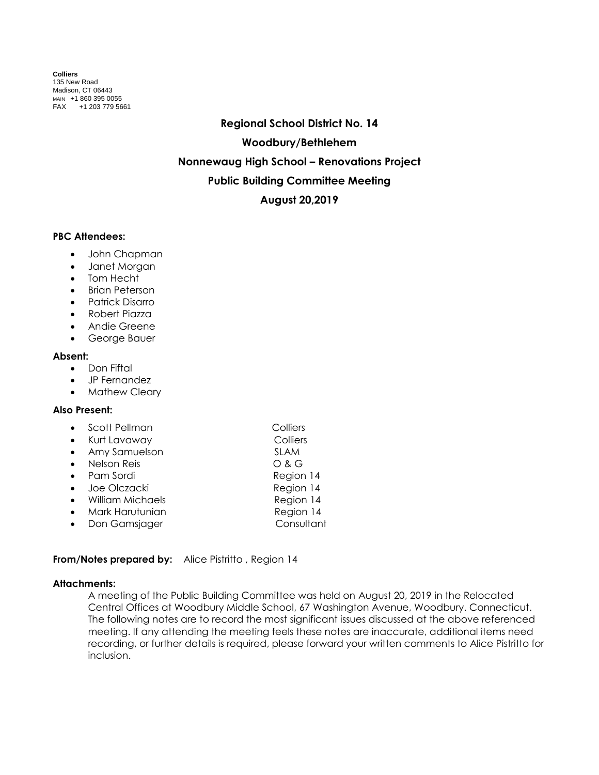**Colliers** 135 New Road Madison, CT 06443 MAIN +1 860 395 0055 FAX +1 203 779 5661

> **Regional School District No. 14 Woodbury/Bethlehem Nonnewaug High School – Renovations Project Public Building Committee Meeting August 20,2019**

## **PBC Attendees:**

- John Chapman
- Janet Morgan
- Tom Hecht
- Brian Peterson
- Patrick Disarro
- Robert Piazza
- **•** Andie Greene
- George Bauer

### **Absent:**

- Don Fiftal
- JP Fernandez
- Mathew Cleary

# **Also Present:**

- Scott Pellman Colliers
- Kurt Lavaway Colliers
- Amy Samuelson SLAM
- Nelson Reis O & G
- Pam Sordi Region 14
- Joe Olczacki Region 14
- William Michaels **Region 14**
- Mark Harutunian **Region 14** • Don Gamsjager **bland Consultant**
- 

# **From/Notes prepared by:** Alice Pistritto, Region 14

### **Attachments:**

A meeting of the Public Building Committee was held on August 20, 2019 in the Relocated Central Offices at Woodbury Middle School, 67 Washington Avenue, Woodbury. Connecticut. The following notes are to record the most significant issues discussed at the above referenced meeting. If any attending the meeting feels these notes are inaccurate, additional items need recording, or further details is required, please forward your written comments to Alice Pistritto for inclusion.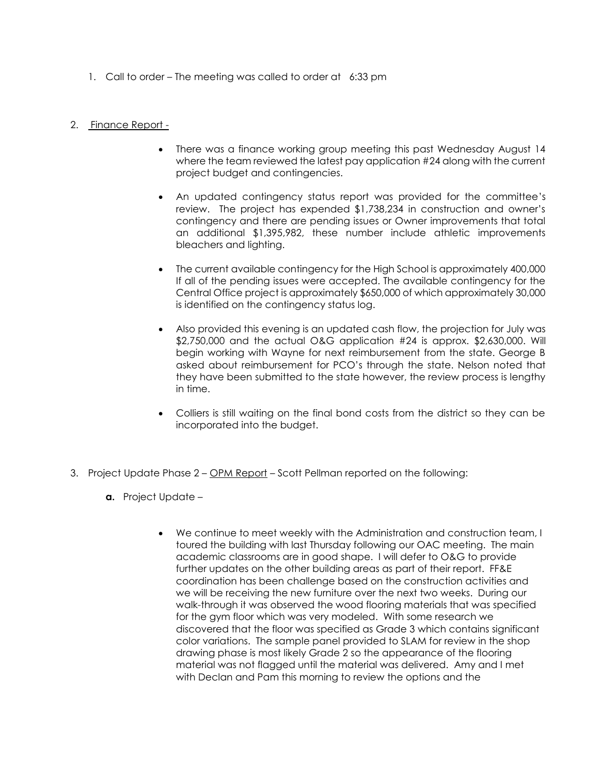1. Call to order – The meeting was called to order at 6:33 pm

## 2. Finance Report -

- There was a finance working group meeting this past Wednesday August 14 where the team reviewed the latest pay application #24 along with the current project budget and contingencies.
- An updated contingency status report was provided for the committee's review. The project has expended \$1,738,234 in construction and owner's contingency and there are pending issues or Owner improvements that total an additional \$1,395,982, these number include athletic improvements bleachers and lighting.
- The current available contingency for the High School is approximately 400,000 If all of the pending issues were accepted. The available contingency for the Central Office project is approximately \$650,000 of which approximately 30,000 is identified on the contingency status log.
- Also provided this evening is an updated cash flow, the projection for July was \$2,750,000 and the actual O&G application #24 is approx. \$2,630,000. Will begin working with Wayne for next reimbursement from the state. George B asked about reimbursement for PCO's through the state. Nelson noted that they have been submitted to the state however, the review process is lengthy in time.
- Colliers is still waiting on the final bond costs from the district so they can be incorporated into the budget.
- 3. Project Update Phase 2 OPM Report Scott Pellman reported on the following:
	- **a.** Project Update
		- We continue to meet weekly with the Administration and construction team, I toured the building with last Thursday following our OAC meeting. The main academic classrooms are in good shape. I will defer to O&G to provide further updates on the other building areas as part of their report. FF&E coordination has been challenge based on the construction activities and we will be receiving the new furniture over the next two weeks. During our walk-through it was observed the wood flooring materials that was specified for the gym floor which was very modeled. With some research we discovered that the floor was specified as Grade 3 which contains significant color variations. The sample panel provided to SLAM for review in the shop drawing phase is most likely Grade 2 so the appearance of the flooring material was not flagged until the material was delivered. Amy and I met with Declan and Pam this morning to review the options and the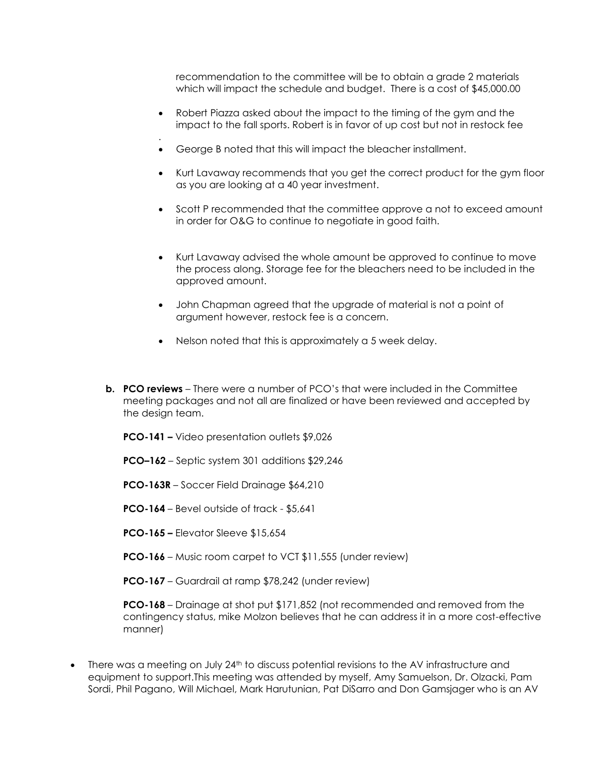recommendation to the committee will be to obtain a grade 2 materials which will impact the schedule and budget. There is a cost of \$45,000.00

- Robert Piazza asked about the impact to the timing of the gym and the impact to the fall sports. Robert is in favor of up cost but not in restock fee
- George B noted that this will impact the bleacher installment.
- Kurt Lavaway recommends that you get the correct product for the gym floor as you are looking at a 40 year investment.
- Scott P recommended that the committee approve a not to exceed amount in order for O&G to continue to negotiate in good faith.
- Kurt Lavaway advised the whole amount be approved to continue to move the process along. Storage fee for the bleachers need to be included in the approved amount.
- John Chapman agreed that the upgrade of material is not a point of argument however, restock fee is a concern.
- Nelson noted that this is approximately a 5 week delay.
- **b. PCO reviews** There were a number of PCO's that were included in the Committee meeting packages and not all are finalized or have been reviewed and accepted by the design team.
	- **PCO-141 –** Video presentation outlets \$9,026
	- **PCO–162** Septic system 301 additions \$29,246
	- **PCO-163R** Soccer Field Drainage \$64,210
	- **PCO-164**  Bevel outside of track \$5,641
	- **PCO-165 –** Elevator Sleeve \$15,654

.

- **PCO-166** Music room carpet to VCT \$11,555 (under review)
- **PCO-167**  Guardrail at ramp \$78,242 (under review)

**PCO-168** – Drainage at shot put \$171,852 (not recommended and removed from the contingency status, mike Molzon believes that he can address it in a more cost-effective manner)

 There was a meeting on July 24th to discuss potential revisions to the AV infrastructure and equipment to support.This meeting was attended by myself, Amy Samuelson, Dr. Olzacki, Pam Sordi, Phil Pagano, Will Michael, Mark Harutunian, Pat DiSarro and Don Gamsjager who is an AV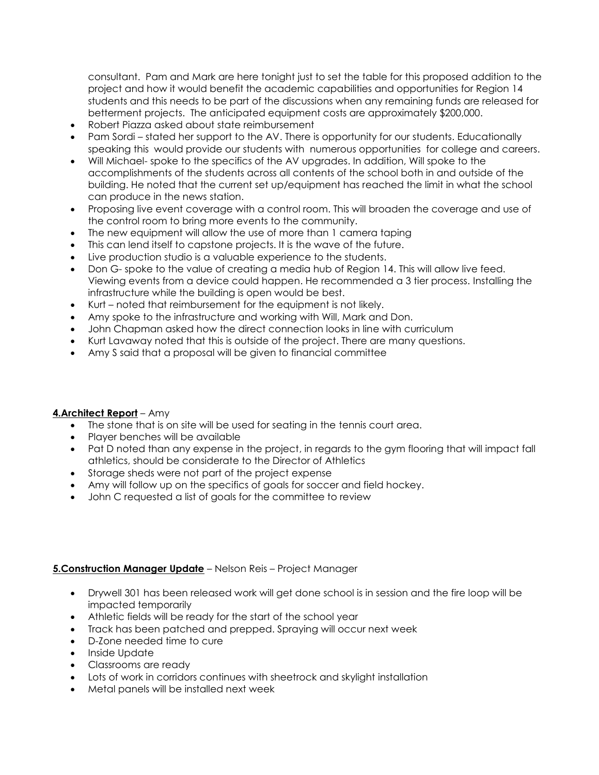consultant. Pam and Mark are here tonight just to set the table for this proposed addition to the project and how it would benefit the academic capabilities and opportunities for Region 14 students and this needs to be part of the discussions when any remaining funds are released for betterment projects. The anticipated equipment costs are approximately \$200,000.

- Robert Piazza asked about state reimbursement
- Pam Sordi stated her support to the AV. There is opportunity for our students. Educationally speaking this would provide our students with numerous opportunities for college and careers.
- Will Michael- spoke to the specifics of the AV upgrades. In addition, Will spoke to the accomplishments of the students across all contents of the school both in and outside of the building. He noted that the current set up/equipment has reached the limit in what the school can produce in the news station.
- Proposing live event coverage with a control room. This will broaden the coverage and use of the control room to bring more events to the community.
- The new equipment will allow the use of more than 1 camera taping
- This can lend itself to capstone projects. It is the wave of the future.
- Live production studio is a valuable experience to the students.
- Don G- spoke to the value of creating a media hub of Region 14. This will allow live feed. Viewing events from a device could happen. He recommended a 3 tier process. Installing the infrastructure while the building is open would be best.
- Kurt noted that reimbursement for the equipment is not likely.
- Amy spoke to the infrastructure and working with Will, Mark and Don.
- John Chapman asked how the direct connection looks in line with curriculum
- Kurt Lavaway noted that this is outside of the project. There are many questions.
- Amy S said that a proposal will be given to financial committee

# **4.Architect Report** – Amy

- The stone that is on site will be used for seating in the tennis court area.
- Player benches will be available
- Pat D noted than any expense in the project, in regards to the gym flooring that will impact fall athletics, should be considerate to the Director of Athletics
- Storage sheds were not part of the project expense
- Amy will follow up on the specifics of goals for soccer and field hockey.
- John C requested a list of goals for the committee to review

# **5.Construction Manager Update** – Nelson Reis – Project Manager

- Drywell 301 has been released work will get done school is in session and the fire loop will be impacted temporarily
- Athletic fields will be ready for the start of the school year
- Track has been patched and prepped. Spraying will occur next week
- D-Zone needed time to cure
- Inside Update
- Classrooms are ready
- Lots of work in corridors continues with sheetrock and skylight installation
- Metal panels will be installed next week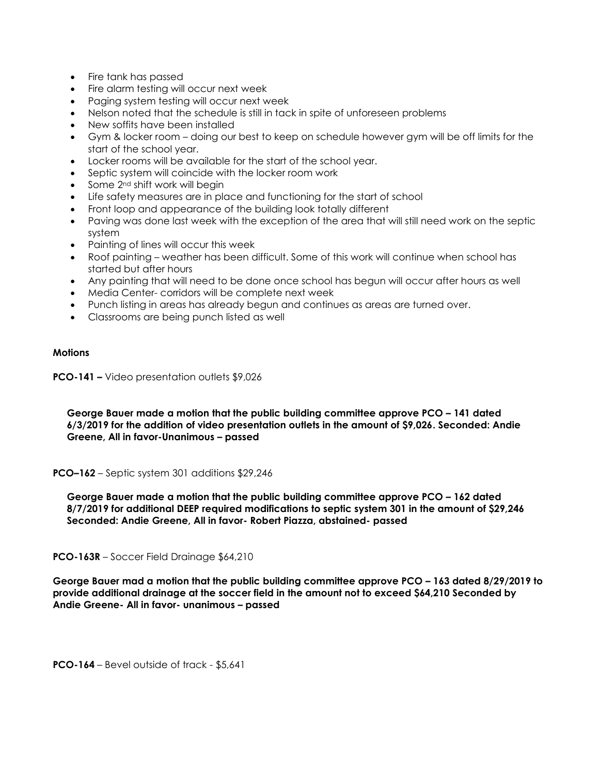- Fire tank has passed
- Fire alarm testing will occur next week
- Paging system testing will occur next week
- Nelson noted that the schedule is still in tack in spite of unforeseen problems
- New soffits have been installed
- Gym & locker room doing our best to keep on schedule however gym will be off limits for the start of the school year.
- Locker rooms will be available for the start of the school year.
- Septic system will coincide with the locker room work
- Some 2nd shift work will begin
- Life safety measures are in place and functioning for the start of school
- Front loop and appearance of the building look totally different
- Paving was done last week with the exception of the area that will still need work on the septic system
- Painting of lines will occur this week
- Roof painting weather has been difficult. Some of this work will continue when school has started but after hours
- Any painting that will need to be done once school has begun will occur after hours as well
- Media Center- corridors will be complete next week
- Punch listing in areas has already begun and continues as areas are turned over.
- Classrooms are being punch listed as well

# **Motions**

**PCO-141 –** Video presentation outlets \$9,026

**George Bauer made a motion that the public building committee approve PCO – 141 dated 6/3/2019 for the addition of video presentation outlets in the amount of \$9,026. Seconded: Andie Greene, All in favor-Unanimous – passed**

**PCO–162** – Septic system 301 additions \$29,246

**George Bauer made a motion that the public building committee approve PCO – 162 dated 8/7/2019 for additional DEEP required modifications to septic system 301 in the amount of \$29,246 Seconded: Andie Greene, All in favor- Robert Piazza, abstained- passed**

**PCO-163R** – Soccer Field Drainage \$64,210

**George Bauer mad a motion that the public building committee approve PCO – 163 dated 8/29/2019 to provide additional drainage at the soccer field in the amount not to exceed \$64,210 Seconded by Andie Greene- All in favor- unanimous – passed**

**PCO-164** – Bevel outside of track - \$5,641